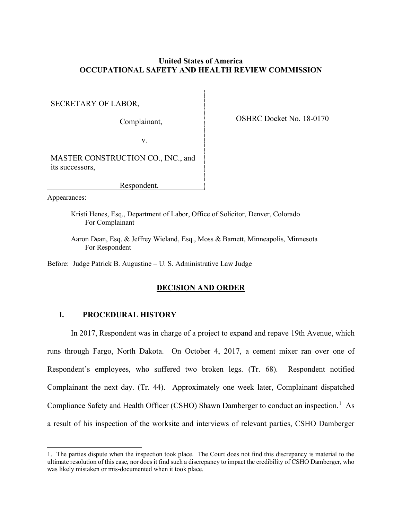## **United States of America OCCUPATIONAL SAFETY AND HEALTH REVIEW COMMISSION**

SECRETARY OF LABOR,

OSHRC Docket No. 18-0170 Complainant,

v.

MASTER CONSTRUCTION CO., INC., and its successors,

Respondent.

Appearances:

 Kristi Henes, Esq., Department of Labor, Office of Solicitor, Denver, Colorado For Complainant

 Aaron Dean, Esq. & Jeffrey Wieland, Esq., Moss & Barnett, Minneapolis, Minnesota For Respondent

Before: Judge Patrick B. Augustine – U. S. Administrative Law Judge

### **DECISION AND ORDER**

### **I. PROCEDURAL HISTORY**

 In 2017, Respondent was in charge of a project to expand and repave 19th Avenue, which runs through Fargo, North Dakota. On October 4, 2017, a cement mixer ran over one of Respondent's employees, who suffered two broken legs. (Tr. 68). Respondent notified Complainant the next day. (Tr. 44). Approximately one week later, Complainant dispatched Compliance Safety and Health Officer (CSHO) Shawn Damberger to conduct an inspection.<sup>1</sup> As a result of his inspection of the worksite and interviews of relevant parties, CSHO Damberger

 1. The parties dispute when the inspection took place. The Court does not find this discrepancy is material to the ultimate resolution of this case, nor does it find such a discrepancy to impact the credibility of CSHO Damberger, who was likely mistaken or mis-documented when it took place.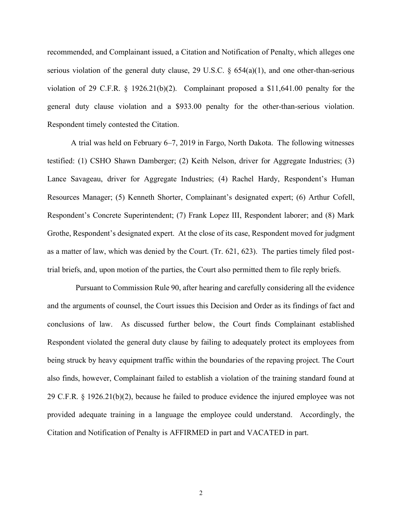recommended, and Complainant issued, a Citation and Notification of Penalty, which alleges one serious violation of the general duty clause, 29 U.S.C.  $\S$  654(a)(1), and one other-than-serious violation of 29 C.F.R. § 1926.21(b)(2). Complainant proposed a \$11,641.00 penalty for the general duty clause violation and a \$933.00 penalty for the other-than-serious violation. Respondent timely contested the Citation.

 A trial was held on February 6–7, 2019 in Fargo, North Dakota. The following witnesses testified: (1) CSHO Shawn Damberger; (2) Keith Nelson, driver for Aggregate Industries; (3) Lance Savageau, driver for Aggregate Industries; (4) Rachel Hardy, Respondent's Human Resources Manager; (5) Kenneth Shorter, Complainant's designated expert; (6) Arthur Cofell, Respondent's Concrete Superintendent; (7) Frank Lopez III, Respondent laborer; and (8) Mark Grothe, Respondent's designated expert. At the close of its case, Respondent moved for judgment as a matter of law, which was denied by the Court. (Tr. 621, 623). The parties timely filed post-trial briefs, and, upon motion of the parties, the Court also permitted them to file reply briefs.

 Pursuant to Commission Rule 90, after hearing and carefully considering all the evidence and the arguments of counsel, the Court issues this Decision and Order as its findings of fact and conclusions of law. As discussed further below, the Court finds Complainant established Respondent violated the general duty clause by failing to adequately protect its employees from being struck by heavy equipment traffic within the boundaries of the repaving project. The Court also finds, however, Complainant failed to establish a violation of the training standard found at 29 C.F.R. § 1926.21(b)(2), because he failed to produce evidence the injured employee was not provided adequate training in a language the employee could understand. Accordingly, the Citation and Notification of Penalty is AFFIRMED in part and VACATED in part.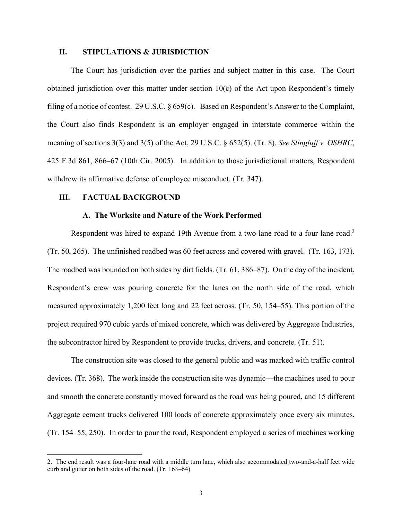#### **II. STIPULATIONS & JURISDICTION**

 The Court has jurisdiction over the parties and subject matter in this case. The Court obtained jurisdiction over this matter under section 10(c) of the Act upon Respondent's timely filing of a notice of contest. 29 U.S.C. § 659(c). Based on Respondent's Answer to the Complaint, the Court also finds Respondent is an employer engaged in interstate commerce within the meaning of sections 3(3) and 3(5) of the Act, 29 U.S.C. § 652(5). (Tr. 8). *See Slingluff v. OSHRC*, 425 F.3d 861, 866–67 (10th Cir. 2005). In addition to those jurisdictional matters, Respondent withdrew its affirmative defense of employee misconduct. (Tr. 347).

#### **III. FACTUAL BACKGROUND**

#### **A. The Worksite and Nature of the Work Performed**

Respondent was hired to expand 19th Avenue from a two-lane road to a four-lane road.<sup>2</sup> (Tr. 50, 265). The unfinished roadbed was 60 feet across and covered with gravel. (Tr. 163, 173). The roadbed was bounded on both sides by dirt fields. (Tr. 61, 386–87). On the day of the incident, Respondent's crew was pouring concrete for the lanes on the north side of the road, which measured approximately 1,200 feet long and 22 feet across. (Tr. 50, 154–55). This portion of the project required 970 cubic yards of mixed concrete, which was delivered by Aggregate Industries, the subcontractor hired by Respondent to provide trucks, drivers, and concrete. (Tr. 51).

 The construction site was closed to the general public and was marked with traffic control devices. (Tr. 368). The work inside the construction site was dynamic—the machines used to pour and smooth the concrete constantly moved forward as the road was being poured, and 15 different Aggregate cement trucks delivered 100 loads of concrete approximately once every six minutes. (Tr. 154–55, 250). In order to pour the road, Respondent employed a series of machines working

 2. The end result was a four-lane road with a middle turn lane, which also accommodated two-and-a-half feet wide curb and gutter on both sides of the road. (Tr. 163–64).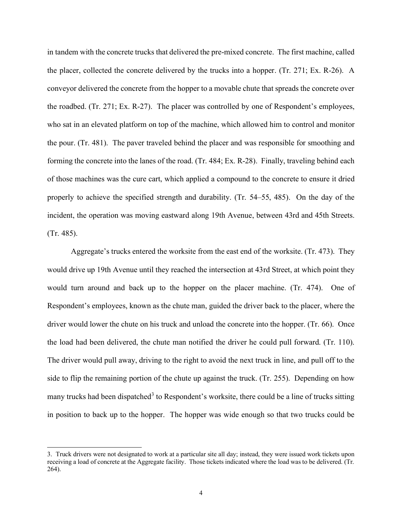in tandem with the concrete trucks that delivered the pre-mixed concrete. The first machine, called the placer, collected the concrete delivered by the trucks into a hopper. (Tr. 271; Ex. R-26). A conveyor delivered the concrete from the hopper to a movable chute that spreads the concrete over the roadbed. (Tr. 271; Ex. R-27). The placer was controlled by one of Respondent's employees, who sat in an elevated platform on top of the machine, which allowed him to control and monitor the pour. (Tr. 481). The paver traveled behind the placer and was responsible for smoothing and forming the concrete into the lanes of the road. (Tr. 484; Ex. R-28). Finally, traveling behind each of those machines was the cure cart, which applied a compound to the concrete to ensure it dried properly to achieve the specified strength and durability. (Tr. 54–55, 485). On the day of the incident, the operation was moving eastward along 19th Avenue, between 43rd and 45th Streets. (Tr. 485).

 Aggregate's trucks entered the worksite from the east end of the worksite. (Tr. 473). They would drive up 19th Avenue until they reached the intersection at 43rd Street, at which point they would turn around and back up to the hopper on the placer machine. (Tr. 474). One of Respondent's employees, known as the chute man, guided the driver back to the placer, where the driver would lower the chute on his truck and unload the concrete into the hopper. (Tr. 66). Once the load had been delivered, the chute man notified the driver he could pull forward. (Tr. 110). The driver would pull away, driving to the right to avoid the next truck in line, and pull off to the side to flip the remaining portion of the chute up against the truck. (Tr. 255). Depending on how many trucks had been dispatched<sup>3</sup> to Respondent's worksite, there could be a line of trucks sitting in position to back up to the hopper. The hopper was wide enough so that two trucks could be

 3. Truck drivers were not designated to work at a particular site all day; instead, they were issued work tickets upon receiving a load of concrete at the Aggregate facility. Those tickets indicated where the load was to be delivered. (Tr. 264).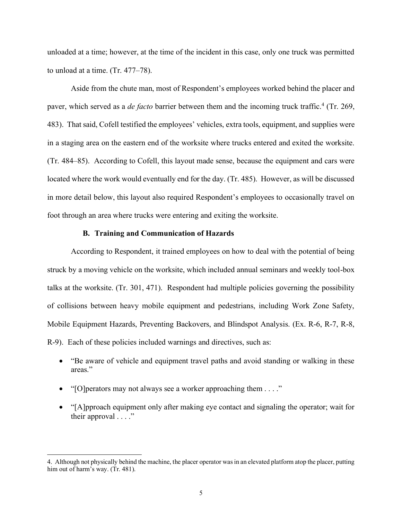unloaded at a time; however, at the time of the incident in this case, only one truck was permitted to unload at a time. (Tr. 477–78).

 Aside from the chute man, most of Respondent's employees worked behind the placer and paver, which served as a *de facto* barrier between them and the incoming truck traffic.<sup>4</sup> (Tr. 269, 483). That said, Cofell testified the employees' vehicles, extra tools, equipment, and supplies were in a staging area on the eastern end of the worksite where trucks entered and exited the worksite. (Tr. 484–85). According to Cofell, this layout made sense, because the equipment and cars were located where the work would eventually end for the day. (Tr. 485). However, as will be discussed in more detail below, this layout also required Respondent's employees to occasionally travel on foot through an area where trucks were entering and exiting the worksite.

#### **B. Training and Communication of Hazards**

 According to Respondent, it trained employees on how to deal with the potential of being struck by a moving vehicle on the worksite, which included annual seminars and weekly tool-box talks at the worksite. (Tr. 301, 471). Respondent had multiple policies governing the possibility of collisions between heavy mobile equipment and pedestrians, including Work Zone Safety, Mobile Equipment Hazards, Preventing Backovers, and Blindspot Analysis. (Ex. R-6, R-7, R-8, R-9). Each of these policies included warnings and directives, such as:

- • "Be aware of vehicle and equipment travel paths and avoid standing or walking in these areas."
- "[O] perators may not always see a worker approaching them . . . ."
- • "[A]pproach equipment only after making eye contact and signaling the operator; wait for their approval . . . ."

 4. Although not physically behind the machine, the placer operator was in an elevated platform atop the placer, putting him out of harm's way. (Tr. 481).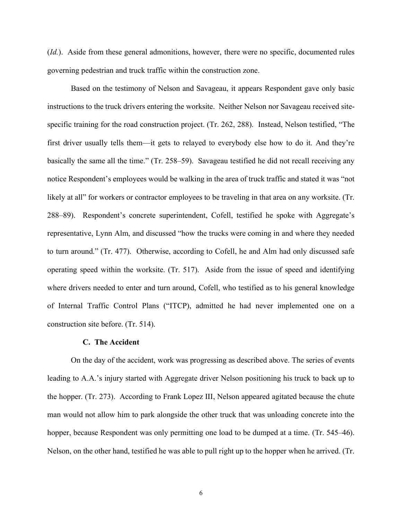(*Id.*). Aside from these general admonitions, however, there were no specific, documented rules governing pedestrian and truck traffic within the construction zone. governing pedestrian and truck traffic within the construction zone. Based on the testimony of Nelson and Savageau, it appears Respondent gave only basic

 instructions to the truck drivers entering the worksite. Neither Nelson nor Savageau received site- specific training for the road construction project. (Tr. 262, 288). Instead, Nelson testified, "The first driver usually tells them—it gets to relayed to everybody else how to do it. And they're basically the same all the time." (Tr. 258–59). Savageau testified he did not recall receiving any notice Respondent's employees would be walking in the area of truck traffic and stated it was "not likely at all" for workers or contractor employees to be traveling in that area on any worksite. (Tr. 288–89). Respondent's concrete superintendent, Cofell, testified he spoke with Aggregate's representative, Lynn Alm, and discussed "how the trucks were coming in and where they needed to turn around." (Tr. 477). Otherwise, according to Cofell, he and Alm had only discussed safe operating speed within the worksite. (Tr. 517). Aside from the issue of speed and identifying where drivers needed to enter and turn around, Cofell, who testified as to his general knowledge of Internal Traffic Control Plans ("ITCP), admitted he had never implemented one on a construction site before. (Tr. 514).

### **C. The Accident**

 On the day of the accident, work was progressing as described above. The series of events leading to A.A.'s injury started with Aggregate driver Nelson positioning his truck to back up to the hopper. (Tr. 273). According to Frank Lopez III, Nelson appeared agitated because the chute hopper, because Respondent was only permitting one load to be dumped at a time. (Tr. 545–46). Nelson, on the other hand, testified he was able to pull right up to the hopper when he arrived. (Tr. man would not allow him to park alongside the other truck that was unloading concrete into the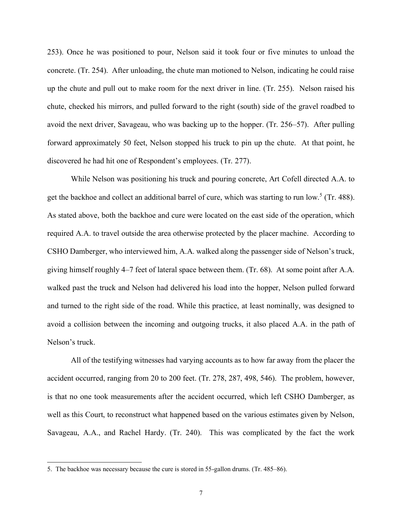253). Once he was positioned to pour, Nelson said it took four or five minutes to unload the concrete. (Tr. 254). After unloading, the chute man motioned to Nelson, indicating he could raise up the chute and pull out to make room for the next driver in line. (Tr. 255). Nelson raised his chute, checked his mirrors, and pulled forward to the right (south) side of the gravel roadbed to avoid the next driver, Savageau, who was backing up to the hopper. (Tr. 256–57). After pulling forward approximately 50 feet, Nelson stopped his truck to pin up the chute. At that point, he discovered he had hit one of Respondent's employees. (Tr. 277).

 While Nelson was positioning his truck and pouring concrete, Art Cofell directed A.A. to get the backhoe and collect an additional barrel of cure, which was starting to run low.<sup>5</sup> (Tr. 488). As stated above, both the backhoe and cure were located on the east side of the operation, which required A.A. to travel outside the area otherwise protected by the placer machine. According to CSHO Damberger, who interviewed him, A.A. walked along the passenger side of Nelson's truck, giving himself roughly 4–7 feet of lateral space between them. (Tr. 68). At some point after A.A. walked past the truck and Nelson had delivered his load into the hopper, Nelson pulled forward and turned to the right side of the road. While this practice, at least nominally, was designed to avoid a collision between the incoming and outgoing trucks, it also placed A.A. in the path of Nelson's truck.

 All of the testifying witnesses had varying accounts as to how far away from the placer the accident occurred, ranging from 20 to 200 feet. (Tr. 278, 287, 498, 546). The problem, however, is that no one took measurements after the accident occurred, which left CSHO Damberger, as well as this Court, to reconstruct what happened based on the various estimates given by Nelson, Savageau, A.A., and Rachel Hardy. (Tr. 240). This was complicated by the fact the work

 5. The backhoe was necessary because the cure is stored in 55-gallon drums. (Tr. 485–86).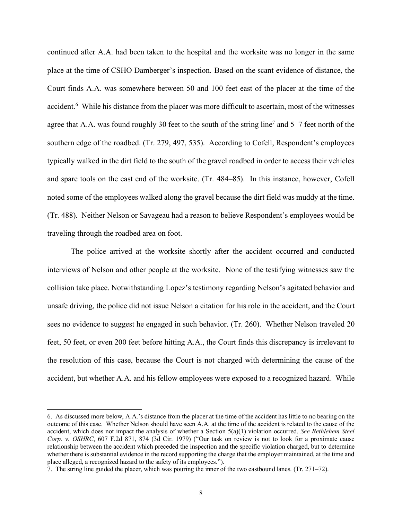continued after A.A. had been taken to the hospital and the worksite was no longer in the same place at the time of CSHO Damberger's inspection. Based on the scant evidence of distance, the Court finds A.A. was somewhere between 50 and 100 feet east of the placer at the time of the accident.<sup>6</sup> While his distance from the placer was more difficult to ascertain, most of the witnesses agree that A.A. was found roughly 30 feet to the south of the string line<sup>7</sup> and 5–7 feet north of the southern edge of the roadbed. (Tr. 279, 497, 535). According to Cofell, Respondent's employees typically walked in the dirt field to the south of the gravel roadbed in order to access their vehicles and spare tools on the east end of the worksite. (Tr. 484–85). In this instance, however, Cofell noted some of the employees walked along the gravel because the dirt field was muddy at the time. (Tr. 488). Neither Nelson or Savageau had a reason to believe Respondent's employees would be traveling through the roadbed area on foot.

 The police arrived at the worksite shortly after the accident occurred and conducted interviews of Nelson and other people at the worksite. None of the testifying witnesses saw the collision take place. Notwithstanding Lopez's testimony regarding Nelson's agitated behavior and unsafe driving, the police did not issue Nelson a citation for his role in the accident, and the Court sees no evidence to suggest he engaged in such behavior. (Tr. 260). Whether Nelson traveled 20 feet, 50 feet, or even 200 feet before hitting A.A., the Court finds this discrepancy is irrelevant to the resolution of this case, because the Court is not charged with determining the cause of the accident, but whether A.A. and his fellow employees were exposed to a recognized hazard. While

 6. As discussed more below, A.A.'s distance from the placer at the time of the accident has little to no bearing on the outcome of this case. Whether Nelson should have seen A.A. at the time of the accident is related to the cause of the accident, which does not impact the analysis of whether a Section 5(a)(1) violation occurred. *See Bethlehem Steel Corp. v. OSHRC*, 607 F.2d 871, 874 (3d Cir. 1979) ("Our task on review is not to look for a proximate cause relationship between the accident which preceded the inspection and the specific violation charged, but to determine whether there is substantial evidence in the record supporting the charge that the employer maintained, at the time and place alleged, a recognized hazard to the safety of its employees.").

 7. The string line guided the placer, which was pouring the inner of the two eastbound lanes. (Tr. 271–72).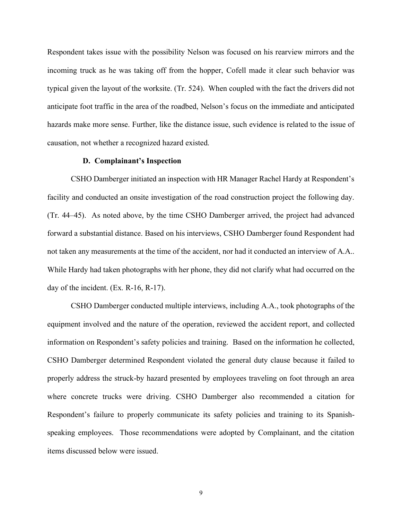Respondent takes issue with the possibility Nelson was focused on his rearview mirrors and the incoming truck as he was taking off from the hopper, Cofell made it clear such behavior was typical given the layout of the worksite. (Tr. 524). When coupled with the fact the drivers did not anticipate foot traffic in the area of the roadbed, Nelson's focus on the immediate and anticipated hazards make more sense. Further, like the distance issue, such evidence is related to the issue of causation, not whether a recognized hazard existed.

#### **D. Complainant's Inspection**

 CSHO Damberger initiated an inspection with HR Manager Rachel Hardy at Respondent's facility and conducted an onsite investigation of the road construction project the following day. (Tr. 44–45). As noted above, by the time CSHO Damberger arrived, the project had advanced forward a substantial distance. Based on his interviews, CSHO Damberger found Respondent had not taken any measurements at the time of the accident, nor had it conducted an interview of A.A.. While Hardy had taken photographs with her phone, they did not clarify what had occurred on the day of the incident. (Ex. R-16, R-17).

 CSHO Damberger conducted multiple interviews, including A.A., took photographs of the equipment involved and the nature of the operation, reviewed the accident report, and collected information on Respondent's safety policies and training. Based on the information he collected, CSHO Damberger determined Respondent violated the general duty clause because it failed to properly address the struck-by hazard presented by employees traveling on foot through an area where concrete trucks were driving. CSHO Damberger also recommended a citation for Respondent's failure to properly communicate its safety policies and training to its Spanish- speaking employees. Those recommendations were adopted by Complainant, and the citation items discussed below were issued.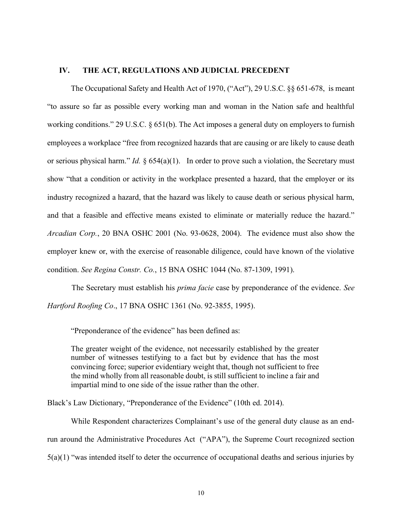#### **IV. THE ACT, REGULATIONS AND JUDICIAL PRECEDENT**

 The Occupational Safety and Health Act of 1970, ("Act"), 29 U.S.C. §§ 651-678, is meant "to assure so far as possible every working man and woman in the Nation safe and healthful working conditions." 29 U.S.C. § 651(b). The Act imposes a general duty on employers to furnish employees a workplace "free from recognized hazards that are causing or are likely to cause death or serious physical harm." *Id.* § 654(a)(1). In order to prove such a violation, the Secretary must show "that a condition or activity in the workplace presented a hazard, that the employer or its industry recognized a hazard, that the hazard was likely to cause death or serious physical harm, and that a feasible and effective means existed to eliminate or materially reduce the hazard." *Arcadian Corp.*, 20 BNA OSHC 2001 (No. 93-0628, 2004). The evidence must also show the employer knew or, with the exercise of reasonable diligence, could have known of the violative condition. *See Regina Constr. Co.*, 15 BNA OSHC 1044 (No. 87-1309, 1991).

 The Secretary must establish his *prima facie* case by preponderance of the evidence. *See Hartford Roofing Co*., 17 BNA OSHC 1361 (No. 92-3855, 1995).

"Preponderance of the evidence" has been defined as:

 The greater weight of the evidence, not necessarily established by the greater number of witnesses testifying to a fact but by evidence that has the most convincing force; superior evidentiary weight that, though not sufficient to free the mind wholly from all reasonable doubt, is still sufficient to incline a fair and impartial mind to one side of the issue rather than the other.

Black's Law Dictionary, "Preponderance of the Evidence" (10th ed. 2014).

 While Respondent characterizes Complainant's use of the general duty clause as an end- run around the Administrative Procedures Act ("APA"), the Supreme Court recognized section 5(a)(1) "was intended itself to deter the occurrence of occupational deaths and serious injuries by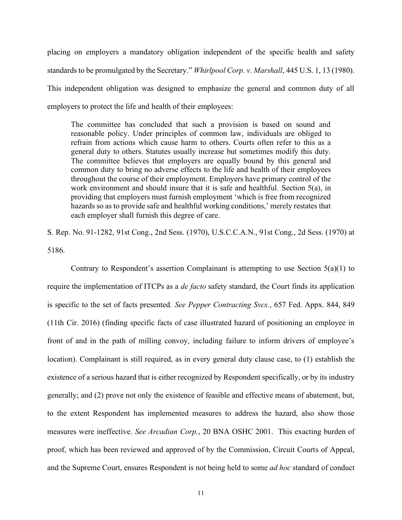placing on employers a mandatory obligation independent of the specific health and safety standards to be promulgated by the Secretary." *Whirlpool Corp. v. Marshall*, 445 U.S. 1, 13 (1980). This independent obligation was designed to emphasize the general and common duty of all employers to protect the life and health of their employees:

 The committee has concluded that such a provision is based on sound and reasonable policy. Under principles of common law, individuals are obliged to refrain from actions which cause harm to others. Courts often refer to this as a general duty to others. Statutes usually increase but sometimes modify this duty. The committee believes that employers are equally bound by this general and common duty to bring no adverse effects to the life and health of their employees throughout the course of their employment. Employers have primary control of the work environment and should insure that it is safe and healthful*.* Section 5(a), in providing that employers must furnish employment 'which is free from recognized hazards so as to provide safe and healthful working conditions,' merely restates that each employer shall furnish this degree of care.

 S. Rep. No. 91-1282, 91st Cong., 2nd Sess. (1970), U.S.C.C.A.N., 91st Cong., 2d Sess. (1970) at 5186.

 require the implementation of ITCPs as a *de facto* safety standard, the Court finds its application is specific to the set of facts presented*. See Pepper Contracting Svcs.*, 657 Fed. Appx. 844, 849 (11th Cir. 2016) (finding specific facts of case illustrated hazard of positioning an employee in front of and in the path of milling convoy, including failure to inform drivers of employee's location). Complainant is still required, as in every general duty clause case, to (1) establish the existence of a serious hazard that is either recognized by Respondent specifically, or by its industry generally; and (2) prove not only the existence of feasible and effective means of abatement, but, to the extent Respondent has implemented measures to address the hazard, also show those measures were ineffective. *See Arcadian Corp.*, 20 BNA OSHC 2001. This exacting burden of proof, which has been reviewed and approved of by the Commission, Circuit Courts of Appeal, and the Supreme Court, ensures Respondent is not being held to some *ad hoc* standard of conduct Contrary to Respondent's assertion Complainant is attempting to use Section  $5(a)(1)$  to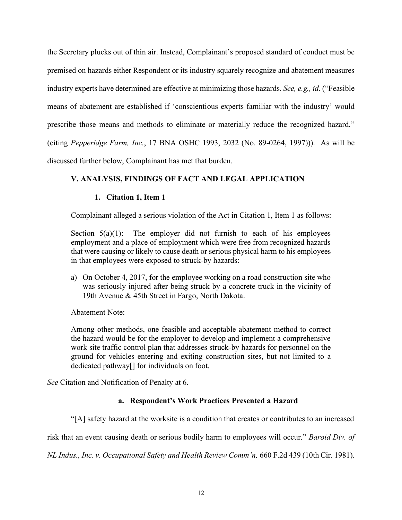the Secretary plucks out of thin air. Instead, Complainant's proposed standard of conduct must be premised on hazards either Respondent or its industry squarely recognize and abatement measures means of abatement are established if 'conscientious experts familiar with the industry' would prescribe those means and methods to eliminate or materially reduce the recognized hazard." (citing *Pepperidge Farm, Inc.*, 17 BNA OSHC 1993, 2032 (No. 89-0264, 1997))). As will be discussed further below, Complainant has met that burden. industry experts have determined are effective at minimizing those hazards. *See, e.g., id.* ("Feasible

# **V. ANALYSIS, FINDINGS OF FACT AND LEGAL APPLICATION**

## **1. Citation 1, Item 1**

Complainant alleged a serious violation of the Act in Citation 1, Item 1 as follows:

Section  $5(a)(1)$ : The employer did not furnish to each of his employees employment and a place of employment which were free from recognized hazards that were causing or likely to cause death or serious physical harm to his employees in that employees were exposed to struck-by hazards:

 a) On October 4, 2017, for the employee working on a road construction site who was seriously injured after being struck by a concrete truck in the vicinity of 19th Avenue & 45th Street in Fargo, North Dakota.

Abatement Note:

 Among other methods, one feasible and acceptable abatement method to correct the hazard would be for the employer to develop and implement a comprehensive work site traffic control plan that addresses struck-by hazards for personnel on the ground for vehicles entering and exiting construction sites, but not limited to a dedicated pathway[] for individuals on foot.

*See* Citation and Notification of Penalty at 6.

## **a. Respondent's Work Practices Presented a Hazard**

"[A] safety hazard at the worksite is a condition that creates or contributes to an increased

risk that an event causing death or serious bodily harm to employees will occur." *Baroid Div. of* 

 *NL Indus., Inc. v. Occupational Safety and Health Review Comm'n,* 660 F.2d 439 (10th Cir. 1981).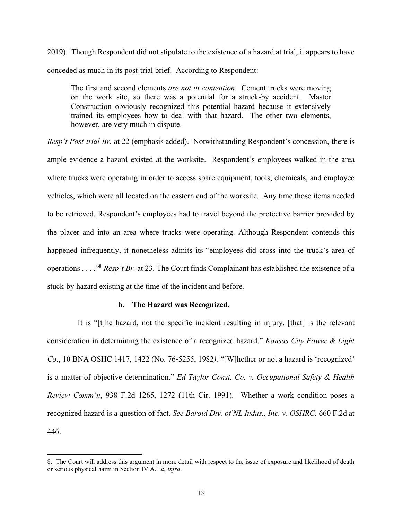2019). Though Respondent did not stipulate to the existence of a hazard at trial, it appears to have conceded as much in its post-trial brief. According to Respondent:

 The first and second elements *are not in contention*. Cement trucks were moving on the work site, so there was a potential for a struck-by accident. Master Construction obviously recognized this potential hazard because it extensively trained its employees how to deal with that hazard. The other two elements, however, are very much in dispute.

 *Resp't Post-trial Br.* at 22 (emphasis added). Notwithstanding Respondent's concession, there is ample evidence a hazard existed at the worksite. Respondent's employees walked in the area where trucks were operating in order to access spare equipment, tools, chemicals, and employee vehicles, which were all located on the eastern end of the worksite. Any time those items needed to be retrieved, Respondent's employees had to travel beyond the protective barrier provided by the placer and into an area where trucks were operating. Although Respondent contends this happened infrequently, it nonetheless admits its "employees did cross into the truck's area of operations . . . ."<sup>8</sup>*Resp't Br.* at 23. The Court finds Complainant has established the existence of a stuck-by hazard existing at the time of the incident and before.

#### **b. The Hazard was Recognized.**

 It is "[t]he hazard, not the specific incident resulting in injury, [that] is the relevant consideration in determining the existence of a recognized hazard." *Kansas City Power & Light Co*., 10 BNA OSHC 1417, 1422 (No. 76-5255, 1982*).* "[W]hether or not a hazard is 'recognized' is a matter of objective determination." *Ed Taylor Const. Co. v. Occupational Safety & Health Review Comm'n*, 938 F.2d 1265, 1272 (11th Cir. 1991). Whether a work condition poses a recognized hazard is a question of fact. *See Baroid Div. of NL Indus., Inc. v. OSHRC,* 660 F.2d at 446.

 8. The Court will address this argument in more detail with respect to the issue of exposure and likelihood of death or serious physical harm in Section IV.A.1.c, *infra*.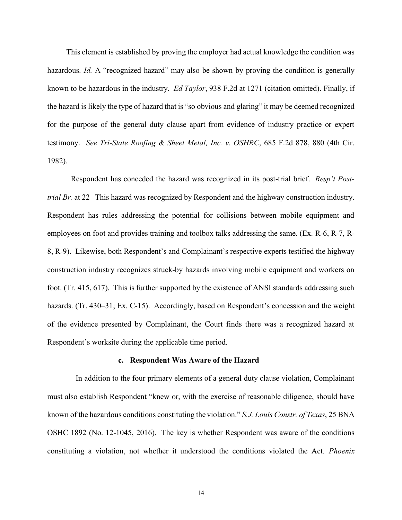hazardous. *Id.* A "recognized hazard" may also be shown by proving the condition is generally known to be hazardous in the industry. *Ed Taylor*, 938 F.2d at 1271 (citation omitted). Finally, if the hazard is likely the type of hazard that is "so obvious and glaring" it may be deemed recognized for the purpose of the general duty clause apart from evidence of industry practice or expert testimony. *See Tri-State Roofing & Sheet Metal, Inc. v. OSHRC*, 685 F.2d 878, 880 (4th Cir. 1982). 1982). Respondent has conceded the hazard was recognized in its post-trial brief. *Resp't Post-*This element is established by proving the employer had actual knowledge the condition was

 *trial Br.* at 22 This hazard was recognized by Respondent and the highway construction industry. Respondent has rules addressing the potential for collisions between mobile equipment and employees on foot and provides training and toolbox talks addressing the same. (Ex. R-6, R-7, R- 8, R-9). Likewise, both Respondent's and Complainant's respective experts testified the highway foot. (Tr. 415, 617). This is further supported by the existence of ANSI standards addressing such hazards. (Tr. 430–31; Ex. C-15). Accordingly, based on Respondent's concession and the weight of the evidence presented by Complainant, the Court finds there was a recognized hazard at Respondent's worksite during the applicable time period. construction industry recognizes struck-by hazards involving mobile equipment and workers on

#### **c. Respondent Was Aware of the Hazard**

 In addition to the four primary elements of a general duty clause violation, Complainant must also establish Respondent "knew or, with the exercise of reasonable diligence, should have known of the hazardous conditions constituting the violation." *S.J. Louis Constr. of Texas*, 25 BNA OSHC 1892 (No. 12-1045, 2016). The key is whether Respondent was aware of the conditions constituting a violation, not whether it understood the conditions violated the Act. *Phoenix*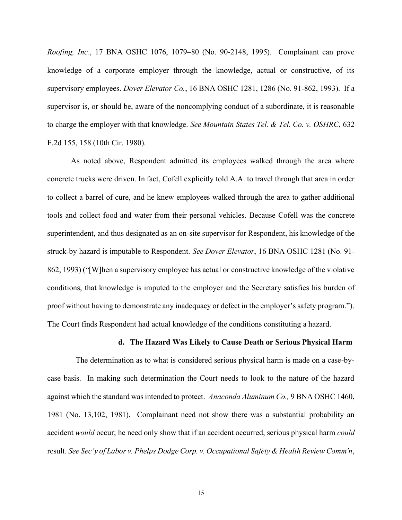*Roofing, Inc.*, 17 BNA OSHC 1076, 1079–80 (No. 90-2148, 1995). Complainant can prove knowledge of a corporate employer through the knowledge, actual or constructive, of its supervisory employees. *Dover Elevator Co.*, 16 BNA OSHC 1281, 1286 (No. 91-862, 1993). If a supervisor is, or should be, aware of the noncomplying conduct of a subordinate, it is reasonable to charge the employer with that knowledge. *See Mountain States Tel. & Tel. Co. v. OSHRC*, 632 F.2d 155, 158 (10th Cir. 1980).

 As noted above, Respondent admitted its employees walked through the area where concrete trucks were driven. In fact, Cofell explicitly told A.A. to travel through that area in order to collect a barrel of cure, and he knew employees walked through the area to gather additional tools and collect food and water from their personal vehicles. Because Cofell was the concrete superintendent, and thus designated as an on-site supervisor for Respondent, his knowledge of the struck-by hazard is imputable to Respondent. *See Dover Elevator*, 16 BNA OSHC 1281 (No. 91- 862, 1993) ("[W]hen a supervisory employee has actual or constructive knowledge of the violative conditions, that knowledge is imputed to the employer and the Secretary satisfies his burden of proof without having to demonstrate any inadequacy or defect in the employer's safety program."). The Court finds Respondent had actual knowledge of the conditions constituting a hazard.

### **d. The Hazard Was Likely to Cause Death or Serious Physical Harm**

 The determination as to what is considered serious physical harm is made on a case-by- case basis. In making such determination the Court needs to look to the nature of the hazard against which the standard was intended to protect. *Anaconda Aluminum Co.,* 9 BNA OSHC 1460, 1981 (No. 13,102, 1981). Complainant need not show there was a substantial probability an accident *would* occur; he need only show that if an accident occurred, serious physical harm *could*  result. *See Sec'y of Labor v. Phelps Dodge Corp. v. Occupational Safety & Health Review Comm'n*,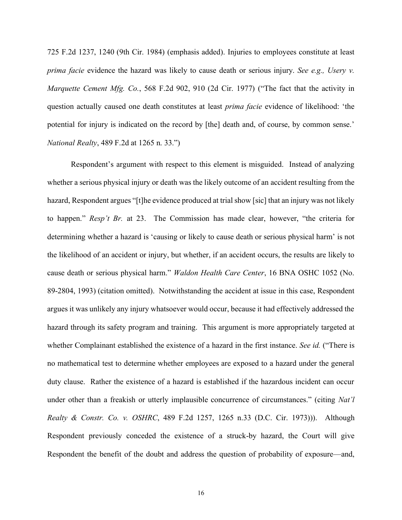725 F.2d 1237, 1240 (9th Cir. 1984) (emphasis added). Injuries to employees constitute at least *prima facie* evidence the hazard was likely to cause death or serious injury. *See e.g., Usery v. Marquette Cement Mfg. Co.*, 568 F.2d 902, 910 (2d Cir. 1977) ("The fact that the activity in question actually caused one death constitutes at least *prima facie* evidence of likelihood: 'the potential for injury is indicated on the record by [the] death and, of course, by common sense.' *National Realty*, 489 F.2d at 1265 n. 33.")

 Respondent's argument with respect to this element is misguided. Instead of analyzing whether a serious physical injury or death was the likely outcome of an accident resulting from the hazard, Respondent argues "[t]he evidence produced at trial show [sic] that an injury was not likely  to happen." *Resp't Br.* at 23. The Commission has made clear, however, "the criteria for determining whether a hazard is 'causing or likely to cause death or serious physical harm' is not the likelihood of an accident or injury, but whether, if an accident occurs, the results are likely to cause death or serious physical harm." *Waldon Health Care Center*, 16 BNA OSHC 1052 (No. 89-2804, 1993) (citation omitted). Notwithstanding the accident at issue in this case, Respondent argues it was unlikely any injury whatsoever would occur, because it had effectively addressed the hazard through its safety program and training. This argument is more appropriately targeted at whether Complainant established the existence of a hazard in the first instance. *See id.* ("There is no mathematical test to determine whether employees are exposed to a hazard under the general duty clause. Rather the existence of a hazard is established if the hazardous incident can occur under other than a freakish or utterly implausible concurrence of circumstances." (citing *Nat'l Realty & Constr. Co. v. OSHRC*, 489 F.2d 1257, 1265 n.33 (D.C. Cir. 1973))). Although Respondent previously conceded the existence of a struck-by hazard, the Court will give Respondent the benefit of the doubt and address the question of probability of exposure—and,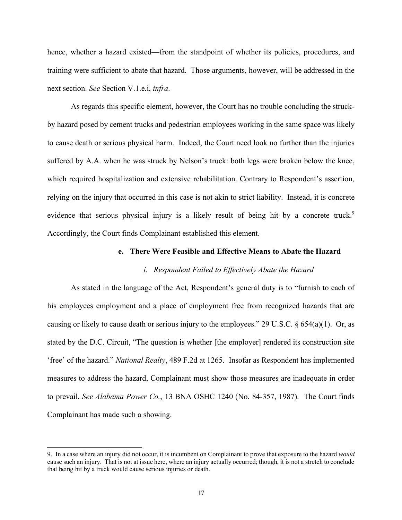hence, whether a hazard existed—from the standpoint of whether its policies, procedures, and training were sufficient to abate that hazard. Those arguments, however, will be addressed in the next section. *See* Section V.1.e.i, *infra*.

 As regards this specific element, however, the Court has no trouble concluding the struck- by hazard posed by cement trucks and pedestrian employees working in the same space was likely to cause death or serious physical harm. Indeed, the Court need look no further than the injuries suffered by A.A. when he was struck by Nelson's truck: both legs were broken below the knee, which required hospitalization and extensive rehabilitation. Contrary to Respondent's assertion, relying on the injury that occurred in this case is not akin to strict liability. Instead, it is concrete evidence that serious physical injury is a likely result of being hit by a concrete truck.<sup>9</sup> Accordingly, the Court finds Complainant established this element.

### **e. There Were Feasible and Effective Means to Abate the Hazard**

#### *i. Respondent Failed to Effectively Abate the Hazard*

 As stated in the language of the Act, Respondent's general duty is to "furnish to each of his employees employment and a place of employment free from recognized hazards that are causing or likely to cause death or serious injury to the employees." 29 U.S.C.  $\S 654(a)(1)$ . Or, as stated by the D.C. Circuit, "The question is whether [the employer] rendered its construction site 'free' of the hazard." *National Realty*, 489 F.2d at 1265. Insofar as Respondent has implemented measures to address the hazard, Complainant must show those measures are inadequate in order to prevail. *See Alabama Power Co.*, 13 BNA OSHC 1240 (No. 84-357, 1987). The Court finds Complainant has made such a showing.

 9. In a case where an injury did not occur, it is incumbent on Complainant to prove that exposure to the hazard *would*  cause such an injury. That is not at issue here, where an injury actually occurred; though, it is not a stretch to conclude that being hit by a truck would cause serious injuries or death.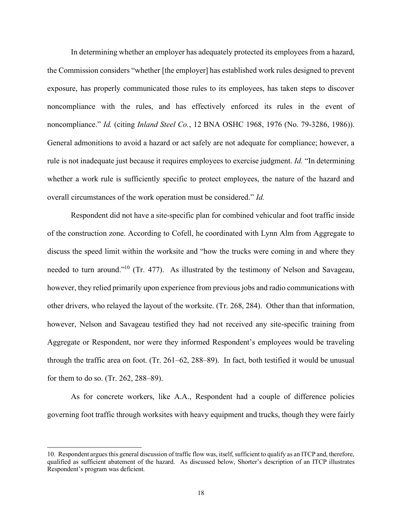In determining whether an employer has adequately protected its employees from a hazard, the Commission considers "whether [the employer] has established work rules designed to prevent exposure, has properly communicated those rules to its employees, has taken steps to discover noncompliance with the rules, and has effectively enforced its rules in the event of  noncompliance." *Id.* (citing *Inland Steel Co.*, 12 BNA OSHC 1968, 1976 (No. 79-3286, 1986)). General admonitions to avoid a hazard or act safely are not adequate for compliance; however, a rule is not inadequate just because it requires employees to exercise judgment. *Id.* "In determining whether a work rule is sufficiently specific to protect employees, the nature of the hazard and overall circumstances of the work operation must be considered." *Id.* 

 Respondent did not have a site-specific plan for combined vehicular and foot traffic inside of the construction zone. According to Cofell, he coordinated with Lynn Alm from Aggregate to discuss the speed limit within the worksite and "how the trucks were coming in and where they needed to turn around."<sup>10</sup> (Tr. 477). As illustrated by the testimony of Nelson and Savageau, other drivers, who relayed the layout of the worksite. (Tr. 268, 284). Other than that information, however, Nelson and Savageau testified they had not received any site-specific training from Aggregate or Respondent, nor were they informed Respondent's employees would be traveling through the traffic area on foot. (Tr. 261–62, 288–89). In fact, both testified it would be unusual for them to do so. (Tr. 262, 288–89). however, they relied primarily upon experience from previous jobs and radio communications with

 As for concrete workers, like A.A., Respondent had a couple of difference policies governing foot traffic through worksites with heavy equipment and trucks, though they were fairly

 10. Respondent argues this general discussion of traffic flow was, itself, sufficient to qualify as an ITCP and, therefore, qualified as sufficient abatement of the hazard. As discussed below, Shorter's description of an ITCP illustrates Respondent's program was deficient.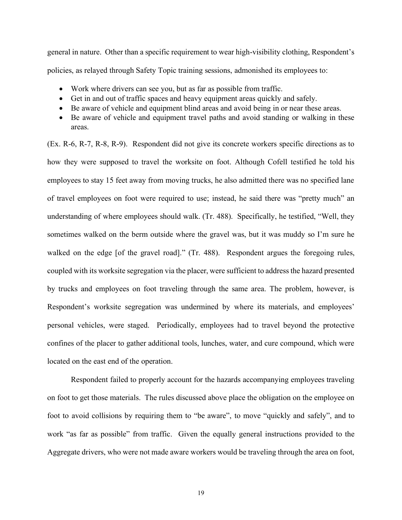general in nature. Other than a specific requirement to wear high-visibility clothing, Respondent's policies, as relayed through Safety Topic training sessions, admonished its employees to:

- Work where drivers can see you, but as far as possible from traffic.
- Get in and out of traffic spaces and heavy equipment areas quickly and safely.
- Be aware of vehicle and equipment blind areas and avoid being in or near these areas.
- • Be aware of vehicle and equipment travel paths and avoid standing or walking in these areas.

 (Ex. R-6, R-7, R-8, R-9). Respondent did not give its concrete workers specific directions as to how they were supposed to travel the worksite on foot. Although Cofell testified he told his employees to stay 15 feet away from moving trucks, he also admitted there was no specified lane of travel employees on foot were required to use; instead, he said there was "pretty much" an understanding of where employees should walk. (Tr. 488). Specifically, he testified, "Well, they sometimes walked on the berm outside where the gravel was, but it was muddy so I'm sure he walked on the edge [of the gravel road]." (Tr. 488). Respondent argues the foregoing rules, coupled with its worksite segregation via the placer, were sufficient to address the hazard presented by trucks and employees on foot traveling through the same area. The problem, however, is Respondent's worksite segregation was undermined by where its materials, and employees' personal vehicles, were staged. Periodically, employees had to travel beyond the protective confines of the placer to gather additional tools, lunches, water, and cure compound, which were located on the east end of the operation.

 Respondent failed to properly account for the hazards accompanying employees traveling on foot to get those materials. The rules discussed above place the obligation on the employee on foot to avoid collisions by requiring them to "be aware", to move "quickly and safely", and to work "as far as possible" from traffic. Given the equally general instructions provided to the Aggregate drivers, who were not made aware workers would be traveling through the area on foot,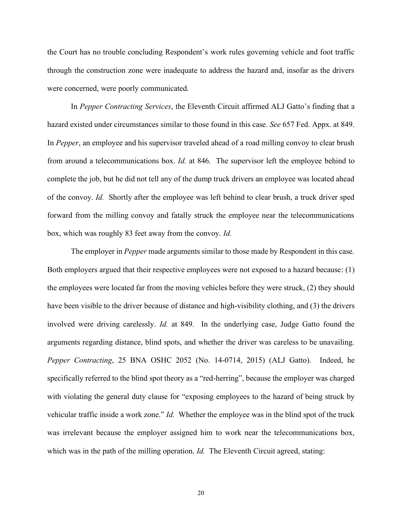the Court has no trouble concluding Respondent's work rules governing vehicle and foot traffic through the construction zone were inadequate to address the hazard and, insofar as the drivers were concerned, were poorly communicated.

 In *Pepper Contracting Services*, the Eleventh Circuit affirmed ALJ Gatto's finding that a hazard existed under circumstances similar to those found in this case. *See* 657 Fed. Appx. at 849. In *Pepper*, an employee and his supervisor traveled ahead of a road milling convoy to clear brush from around a telecommunications box. *Id.* at 846. The supervisor left the employee behind to complete the job, but he did not tell any of the dump truck drivers an employee was located ahead of the convoy. *Id.* Shortly after the employee was left behind to clear brush, a truck driver sped forward from the milling convoy and fatally struck the employee near the telecommunications box, which was roughly 83 feet away from the convoy. *Id.* 

 The employer in *Pepper* made arguments similar to those made by Respondent in this case. Both employers argued that their respective employees were not exposed to a hazard because: (1) the employees were located far from the moving vehicles before they were struck, (2) they should have been visible to the driver because of distance and high-visibility clothing, and (3) the drivers involved were driving carelessly. *Id.* at 849. In the underlying case, Judge Gatto found the arguments regarding distance, blind spots, and whether the driver was careless to be unavailing. *Pepper Contracting*, 25 BNA OSHC 2052 (No. 14-0714, 2015) (ALJ Gatto). Indeed, he specifically referred to the blind spot theory as a "red-herring", because the employer was charged with violating the general duty clause for "exposing employees to the hazard of being struck by vehicular traffic inside a work zone." *Id.* Whether the employee was in the blind spot of the truck was irrelevant because the employer assigned him to work near the telecommunications box, which was in the path of the milling operation. *Id.* The Eleventh Circuit agreed, stating: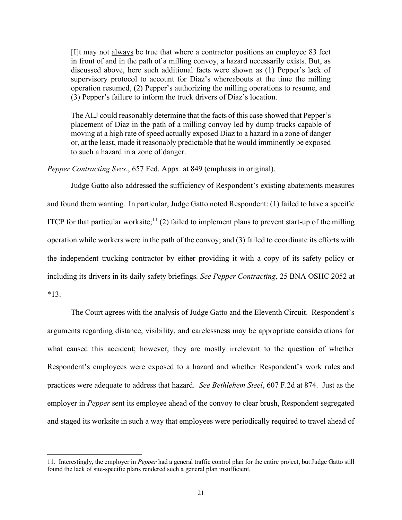[I]t may not always be true that where a contractor positions an employee 83 feet in front of and in the path of a milling convoy, a hazard necessarily exists. But, as discussed above, here such additional facts were shown as (1) Pepper's lack of supervisory protocol to account for Diaz's whereabouts at the time the milling operation resumed, (2) Pepper's authorizing the milling operations to resume, and (3) Pepper's failure to inform the truck drivers of Diaz's location.

 The ALJ could reasonably determine that the facts of this case showed that Pepper's placement of Diaz in the path of a milling convoy led by dump trucks capable of moving at a high rate of speed actually exposed Diaz to a hazard in a zone of danger or, at the least, made it reasonably predictable that he would imminently be exposed to such a hazard in a zone of danger.

*Pepper Contracting Svcs.*, 657 Fed. Appx. at 849 (emphasis in original).

 Judge Gatto also addressed the sufficiency of Respondent's existing abatements measures and found them wanting. In particular, Judge Gatto noted Respondent: (1) failed to have a specific ITCP for that particular worksite;<sup>11</sup> (2) failed to implement plans to prevent start-up of the milling operation while workers were in the path of the convoy; and (3) failed to coordinate its efforts with the independent trucking contractor by either providing it with a copy of its safety policy or including its drivers in its daily safety briefings. *See Pepper Contracting*, 25 BNA OSHC 2052 at  $*13.$ \*13. The Court agrees with the analysis of Judge Gatto and the Eleventh Circuit. Respondent's

 arguments regarding distance, visibility, and carelessness may be appropriate considerations for what caused this accident; however, they are mostly irrelevant to the question of whether Respondent's employees were exposed to a hazard and whether Respondent's work rules and practices were adequate to address that hazard. *See Bethlehem Steel*, 607 F.2d at 874. Just as the employer in *Pepper* sent its employee ahead of the convoy to clear brush, Respondent segregated and staged its worksite in such a way that employees were periodically required to travel ahead of

 11. Interestingly, the employer in *Pepper* had a general traffic control plan for the entire project, but Judge Gatto still found the lack of site-specific plans rendered such a general plan insufficient.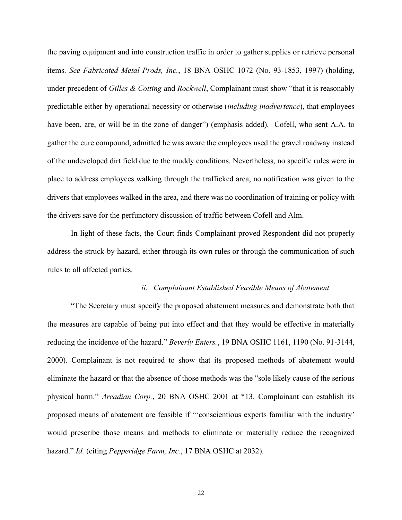the paving equipment and into construction traffic in order to gather supplies or retrieve personal  items. *See Fabricated Metal Prods, Inc.*, 18 BNA OSHC 1072 (No. 93-1853, 1997) (holding,  under precedent of *Gilles & Cotting* and *Rockwell*, Complainant must show "that it is reasonably have been, are, or will be in the zone of danger") (emphasis added). Cofell, who sent A.A. to gather the cure compound, admitted he was aware the employees used the gravel roadway instead of the undeveloped dirt field due to the muddy conditions. Nevertheless, no specific rules were in place to address employees walking through the trafficked area, no notification was given to the drivers that employees walked in the area, and there was no coordination of training or policy with the drivers save for the perfunctory discussion of traffic between Cofell and Alm. predictable either by operational necessity or otherwise (*including inadvertence*), that employees

 In light of these facts, the Court finds Complainant proved Respondent did not properly address the struck-by hazard, either through its own rules or through the communication of such rules to all affected parties.

### *ii. Complainant Established Feasible Means of Abatement*

 the measures are capable of being put into effect and that they would be effective in materially reducing the incidence of the hazard." *Beverly Enters.*, 19 BNA OSHC 1161, 1190 (No. 91-3144, 2000). Complainant is not required to show that its proposed methods of abatement would eliminate the hazard or that the absence of those methods was the "sole likely cause of the serious physical harm." *Arcadian Corp.*, 20 BNA OSHC 2001 at \*13. Complainant can establish its proposed means of abatement are feasible if "'conscientious experts familiar with the industry' would prescribe those means and methods to eliminate or materially reduce the recognized "The Secretary must specify the proposed abatement measures and demonstrate both that hazard." *Id.* (citing *Pepperidge Farm, Inc.*, 17 BNA OSHC at 2032).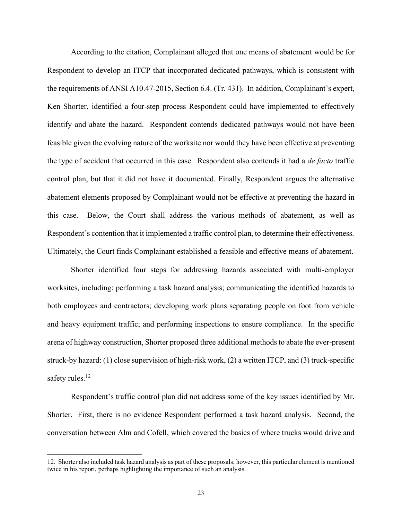According to the citation, Complainant alleged that one means of abatement would be for Respondent to develop an ITCP that incorporated dedicated pathways, which is consistent with the requirements of ANSI A10.47-2015, Section 6.4. (Tr. 431). In addition, Complainant's expert, identify and abate the hazard. Respondent contends dedicated pathways would not have been feasible given the evolving nature of the worksite nor would they have been effective at preventing the type of accident that occurred in this case. Respondent also contends it had a *de facto* traffic control plan, but that it did not have it documented. Finally, Respondent argues the alternative abatement elements proposed by Complainant would not be effective at preventing the hazard in this case. Below, the Court shall address the various methods of abatement, as well as Respondent's contention that it implemented a traffic control plan, to determine their effectiveness. Ultimately, the Court finds Complainant established a feasible and effective means of abatement. Ken Shorter, identified a four-step process Respondent could have implemented to effectively

 Shorter identified four steps for addressing hazards associated with multi-employer worksites, including: performing a task hazard analysis; communicating the identified hazards to both employees and contractors; developing work plans separating people on foot from vehicle and heavy equipment traffic; and performing inspections to ensure compliance. In the specific arena of highway construction, Shorter proposed three additional methods to abate the ever-present struck-by hazard: (1) close supervision of high-risk work, (2) a written ITCP, and (3) truck-specific safety rules.<sup>12</sup>

 Respondent's traffic control plan did not address some of the key issues identified by Mr. Shorter. First, there is no evidence Respondent performed a task hazard analysis. Second, the conversation between Alm and Cofell, which covered the basics of where trucks would drive and

 12. Shorter also included task hazard analysis as part of these proposals; however, this particular element is mentioned twice in his report, perhaps highlighting the importance of such an analysis.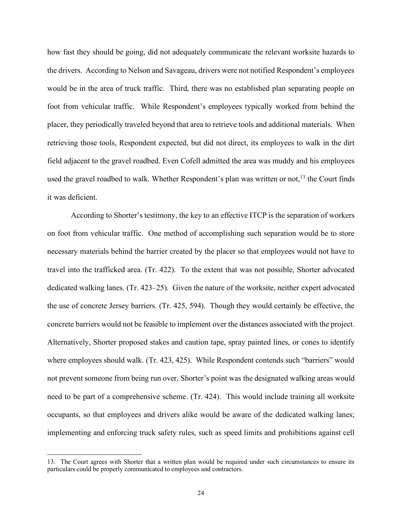how fast they should be going, did not adequately communicate the relevant worksite hazards to the drivers. According to Nelson and Savageau, drivers were not notified Respondent's employees would be in the area of truck traffic. Third, there was no established plan separating people on foot from vehicular traffic. While Respondent's employees typically worked from behind the placer, they periodically traveled beyond that area to retrieve tools and additional materials. When retrieving those tools, Respondent expected, but did not direct, its employees to walk in the dirt field adjacent to the gravel roadbed. Even Cofell admitted the area was muddy and his employees used the gravel roadbed to walk. Whether Respondent's plan was written or not,  $^{13}$  the Court finds it was deficient.

 According to Shorter's testimony, the key to an effective ITCP is the separation of workers on foot from vehicular traffic. One method of accomplishing such separation would be to store travel into the trafficked area. (Tr. 422). To the extent that was not possible, Shorter advocated dedicated walking lanes. (Tr. 423–25). Given the nature of the worksite, neither expert advocated the use of concrete Jersey barriers. (Tr. 425, 594). Though they would certainly be effective, the concrete barriers would not be feasible to implement over the distances associated with the project. Alternatively, Shorter proposed stakes and caution tape, spray painted lines, or cones to identify where employees should walk. (Tr. 423, 425). While Respondent contends such "barriers" would not prevent someone from being run over, Shorter's point was the designated walking areas would need to be part of a comprehensive scheme. (Tr. 424). This would include training all worksite occupants, so that employees and drivers alike would be aware of the dedicated walking lanes; implementing and enforcing truck safety rules, such as speed limits and prohibitions against cell necessary materials behind the barrier created by the placer so that employees would not have to

 13. The Court agrees with Shorter that a written plan would be required under such circumstances to ensure its particulars could be properly communicated to employees and contractors.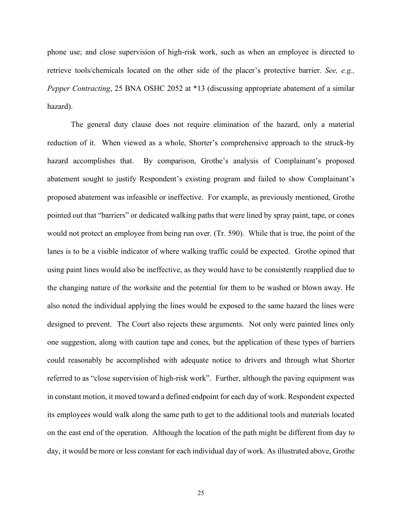phone use; and close supervision of high-risk work, such as when an employee is directed to retrieve tools/chemicals located on the other side of the placer's protective barrier. *See, e.g., Pepper Contracting*, 25 BNA OSHC 2052 at \*13 (discussing appropriate abatement of a similar hazard).

 The general duty clause does not require elimination of the hazard, only a material reduction of it. When viewed as a whole, Shorter's comprehensive approach to the struck-by hazard accomplishes that. proposed abatement was infeasible or ineffective. For example, as previously mentioned, Grothe pointed out that "barriers" or dedicated walking paths that were lined by spray paint, tape, or cones would not protect an employee from being run over. (Tr. 590). While that is true, the point of the lanes is to be a visible indicator of where walking traffic could be expected. Grothe opined that using paint lines would also be ineffective, as they would have to be consistently reapplied due to the changing nature of the worksite and the potential for them to be washed or blown away. He also noted the individual applying the lines would be exposed to the same hazard the lines were designed to prevent. The Court also rejects these arguments. Not only were painted lines only one suggestion, along with caution tape and cones, but the application of these types of barriers could reasonably be accomplished with adequate notice to drivers and through what Shorter referred to as "close supervision of high-risk work". Further, although the paving equipment was in constant motion, it moved toward a defined endpoint for each day of work. Respondent expected its employees would walk along the same path to get to the additional tools and materials located on the east end of the operation. Although the location of the path might be different from day to day, it would be more or less constant for each individual day of work. As illustrated above, Grothe By comparison, Grothe's analysis of Complainant's proposed abatement sought to justify Respondent's existing program and failed to show Complainant's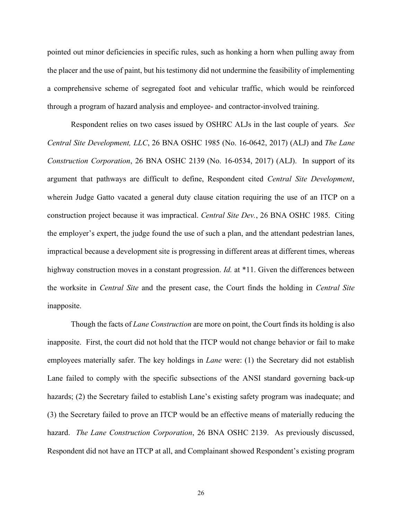pointed out minor deficiencies in specific rules, such as honking a horn when pulling away from the placer and the use of paint, but his testimony did not undermine the feasibility of implementing a comprehensive scheme of segregated foot and vehicular traffic, which would be reinforced through a program of hazard analysis and employee- and contractor-involved training.

 Respondent relies on two cases issued by OSHRC ALJs in the last couple of years. *See Central Site Development, LLC*, 26 BNA OSHC 1985 (No. 16-0642, 2017) (ALJ) and *The Lane Construction Corporation*, 26 BNA OSHC 2139 (No. 16-0534, 2017) (ALJ). In support of its wherein Judge Gatto vacated a general duty clause citation requiring the use of an ITCP on a construction project because it was impractical. *Central Site Dev.*, 26 BNA OSHC 1985. Citing the employer's expert, the judge found the use of such a plan, and the attendant pedestrian lanes, impractical because a development site is progressing in different areas at different times, whereas highway construction moves in a constant progression. *Id.* at \*11. Given the differences between argument that pathways are difficult to define, Respondent cited *Central Site Development*, the worksite in *Central Site* and the present case, the Court finds the holding in *Central Site*  inapposite.

 Though the facts of *Lane Construction* are more on point, the Court finds its holding is also inapposite. First, the court did not hold that the ITCP would not change behavior or fail to make employees materially safer. The key holdings in *Lane* were: (1) the Secretary did not establish Lane failed to comply with the specific subsections of the ANSI standard governing back-up hazards; (2) the Secretary failed to establish Lane's existing safety program was inadequate; and (3) the Secretary failed to prove an ITCP would be an effective means of materially reducing the hazard. *The Lane Construction Corporation*, 26 BNA OSHC 2139. As previously discussed, Respondent did not have an ITCP at all, and Complainant showed Respondent's existing program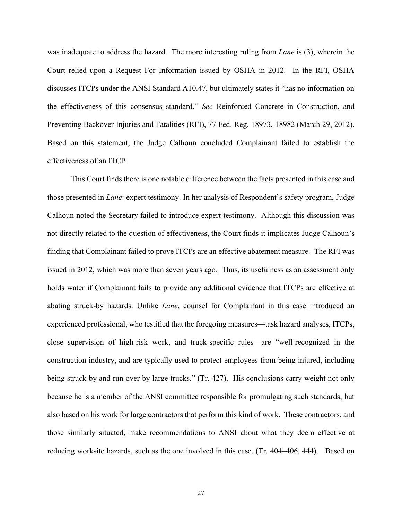was inadequate to address the hazard. The more interesting ruling from *Lane* is (3), wherein the Court relied upon a Request For Information issued by OSHA in 2012. In the RFI, OSHA discusses ITCPs under the ANSI Standard A10.47, but ultimately states it "has no information on the effectiveness of this consensus standard." *See* Reinforced Concrete in Construction, and Preventing Backover Injuries and Fatalities (RFI), 77 Fed. Reg. 18973, 18982 (March 29, 2012). Based on this statement, the Judge Calhoun concluded Complainant failed to establish the effectiveness of an ITCP.

 This Court finds there is one notable difference between the facts presented in this case and those presented in *Lane*: expert testimony. In her analysis of Respondent's safety program, Judge Calhoun noted the Secretary failed to introduce expert testimony. Although this discussion was not directly related to the question of effectiveness, the Court finds it implicates Judge Calhoun's finding that Complainant failed to prove ITCPs are an effective abatement measure. The RFI was issued in 2012, which was more than seven years ago. Thus, its usefulness as an assessment only holds water if Complainant fails to provide any additional evidence that ITCPs are effective at abating struck-by hazards. Unlike *Lane*, counsel for Complainant in this case introduced an experienced professional, who testified that the foregoing measures—task hazard analyses, ITCPs, construction industry, and are typically used to protect employees from being injured, including being struck-by and run over by large trucks." (Tr. 427). His conclusions carry weight not only because he is a member of the ANSI committee responsible for promulgating such standards, but also based on his work for large contractors that perform this kind of work. These contractors, and those similarly situated, make recommendations to ANSI about what they deem effective at reducing worksite hazards, such as the one involved in this case. (Tr. 404–406, 444). Based on close supervision of high-risk work, and truck-specific rules—are "well-recognized in the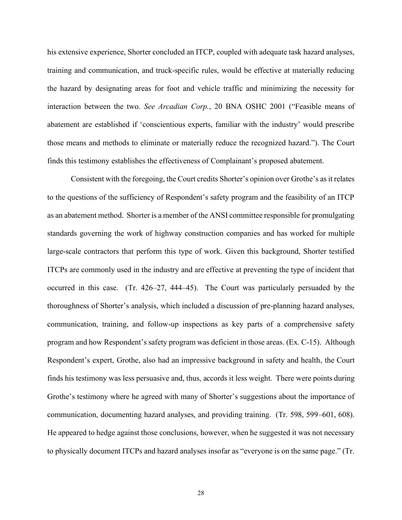his extensive experience, Shorter concluded an ITCP, coupled with adequate task hazard analyses, training and communication, and truck-specific rules, would be effective at materially reducing the hazard by designating areas for foot and vehicle traffic and minimizing the necessity for interaction between the two. *See Arcadian Corp.*, 20 BNA OSHC 2001 ("Feasible means of abatement are established if 'conscientious experts, familiar with the industry' would prescribe those means and methods to eliminate or materially reduce the recognized hazard."). The Court finds this testimony establishes the effectiveness of Complainant's proposed abatement.

 Consistent with the foregoing, the Court credits Shorter's opinion over Grothe's as it relates to the questions of the sufficiency of Respondent's safety program and the feasibility of an ITCP as an abatement method. Shorter is a member of the ANSI committee responsible for promulgating standards governing the work of highway construction companies and has worked for multiple large-scale contractors that perform this type of work. Given this background, Shorter testified ITCPs are commonly used in the industry and are effective at preventing the type of incident that occurred in this case. (Tr. 426–27, 444–45). The Court was particularly persuaded by the thoroughness of Shorter's analysis, which included a discussion of pre-planning hazard analyses, communication, training, and follow-up inspections as key parts of a comprehensive safety program and how Respondent's safety program was deficient in those areas. (Ex. C-15). Although Respondent's expert, Grothe, also had an impressive background in safety and health, the Court finds his testimony was less persuasive and, thus, accords it less weight. There were points during Grothe's testimony where he agreed with many of Shorter's suggestions about the importance of communication, documenting hazard analyses, and providing training. (Tr. 598, 599–601, 608). He appeared to hedge against those conclusions, however, when he suggested it was not necessary to physically document ITCPs and hazard analyses insofar as "everyone is on the same page." (Tr.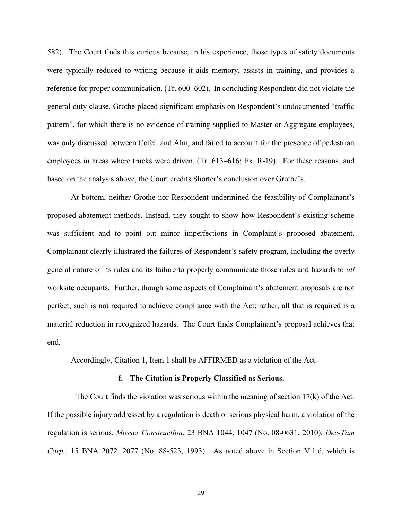582). The Court finds this curious because, in his experience, those types of safety documents were typically reduced to writing because it aids memory, assists in training, and provides a reference for proper communication. (Tr. 600–602). In concluding Respondent did not violate the pattern", for which there is no evidence of training supplied to Master or Aggregate employees, was only discussed between Cofell and Alm, and failed to account for the presence of pedestrian employees in areas where trucks were driven. (Tr. 613–616; Ex. R-19). For these reasons, and based on the analysis above, the Court credits Shorter's conclusion over Grothe's. general duty clause, Grothe placed significant emphasis on Respondent's undocumented "traffic

 At bottom, neither Grothe nor Respondent undermined the feasibility of Complainant's proposed abatement methods. Instead, they sought to show how Respondent's existing scheme was sufficient and to point out minor imperfections in Complaint's proposed abatement. Complainant clearly illustrated the failures of Respondent's safety program, including the overly general nature of its rules and its failure to properly communicate those rules and hazards to *all*  worksite occupants. Further, though some aspects of Complainant's abatement proposals are not perfect, such is not required to achieve compliance with the Act; rather, all that is required is a material reduction in recognized hazards. The Court finds Complainant's proposal achieves that end.

end. Accordingly, Citation 1, Item 1 shall be AFFIRMED as a violation of the Act.

#### **f. The Citation is Properly Classified as Serious.**

 The Court finds the violation was serious within the meaning of section 17(k) of the Act. If the possible injury addressed by a regulation is death or serious physical harm, a violation of the regulation is serious. *Mosser Construction*, 23 BNA 1044, 1047 (No. 08-0631, 2010); *Dec-Tam Corp.*, 15 BNA 2072, 2077 (No. 88-523, 1993). As noted above in Section V.1.d, which is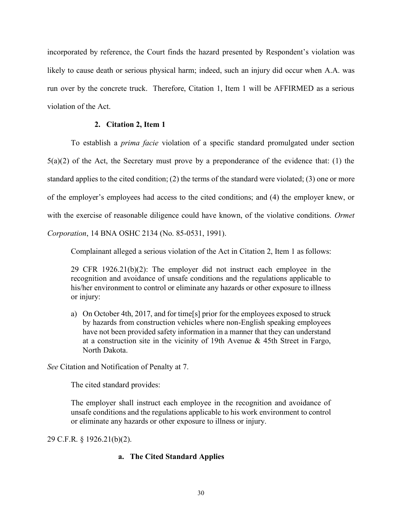likely to cause death or serious physical harm; indeed, such an injury did occur when A.A. was run over by the concrete truck. Therefore, Citation 1, Item 1 will be AFFIRMED as a serious incorporated by reference, the Court finds the hazard presented by Respondent's violation was violation of the Act.

## **2. Citation 2, Item 1**

 To establish a *prima facie* violation of a specific standard promulgated under section  $5(a)(2)$  of the Act, the Secretary must prove by a preponderance of the evidence that: (1) the standard applies to the cited condition; (2) the terms of the standard were violated; (3) one or more of the employer's employees had access to the cited conditions; and (4) the employer knew, or with the exercise of reasonable diligence could have known, of the violative conditions. *Ormet Corporation*, 14 BNA OSHC 2134 (No. 85-0531, 1991).

Complainant alleged a serious violation of the Act in Citation 2, Item 1 as follows:

 29 CFR 1926.21(b)(2): The employer did not instruct each employee in the recognition and avoidance of unsafe conditions and the regulations applicable to his/her environment to control or eliminate any hazards or other exposure to illness or injury:

 a) On October 4th, 2017, and for time[s] prior for the employees exposed to struck by hazards from construction vehicles where non-English speaking employees have not been provided safety information in a manner that they can understand at a construction site in the vicinity of 19th Avenue & 45th Street in Fargo, North Dakota.

*See* Citation and Notification of Penalty at 7.

The cited standard provides:

 The employer shall instruct each employee in the recognition and avoidance of unsafe conditions and the regulations applicable to his work environment to control or eliminate any hazards or other exposure to illness or injury.

29 C.F.R. § 1926.21(b)(2).

# **a. The Cited Standard Applies**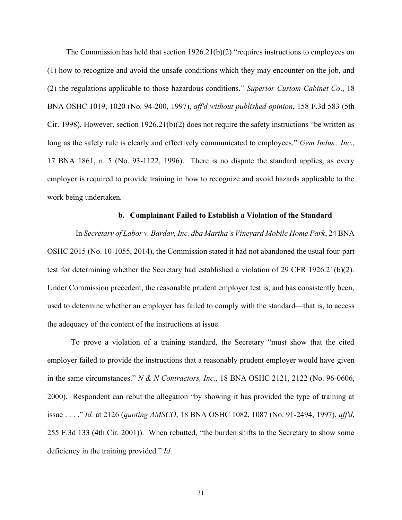The Commission has held that section 1926.21(b)(2) "requires instructions to employees on (1) how to recognize and avoid the unsafe conditions which they may encounter on the job, and (2) the regulations applicable to those hazardous conditions." *Superior Custom Cabinet Co*., 18 BNA OSHC 1019, 1020 (No. 94-200, 1997), *aff'd without published opinion*, 158 F.3d 583 (5th Cir. 1998). However, section 1926.21(b)(2) does not require the safety instructions "be written as long as the safety rule is clearly and effectively communicated to employees." *Gem Indus., Inc*., 17 BNA 1861, n. 5 (No. 93-1122, 1996). There is no dispute the standard applies, as every employer is required to provide training in how to recognize and avoid hazards applicable to the work being undertaken.

#### **b. Complainant Failed to Establish a Violation of the Standard**

 In *Secretary of Labor v. Bardav, Inc. dba Martha's Vineyard Mobile Home Park*, 24 BNA OSHC 2015 (No. 10-1055, 2014), the Commission stated it had not abandoned the usual four-part test for determining whether the Secretary had established a violation of 29 CFR 1926.21(b)(2). Under Commission precedent, the reasonable prudent employer test is, and has consistently been, used to determine whether an employer has failed to comply with the standard—that is, to access the adequacy of the content of the instructions at issue.

 To prove a violation of a training standard, the Secretary "must show that the cited employer failed to provide the instructions that a reasonably prudent employer would have given  in the same circumstances." *N & N Contractors, Inc.*, 18 BNA OSHC 2121, 2122 (No. 96-0606, 2000). Respondent can rebut the allegation "by showing it has provided the type of training at issue . . . ." *Id.* at 2126 (*quoting AMSCO*, 18 BNA OSHC 1082, 1087 (No. 91-2494, 1997), *aff'd*, 255 F.3d 133 (4th Cir. 2001)). When rebutted, "the burden shifts to the Secretary to show some deficiency in the training provided." *Id.*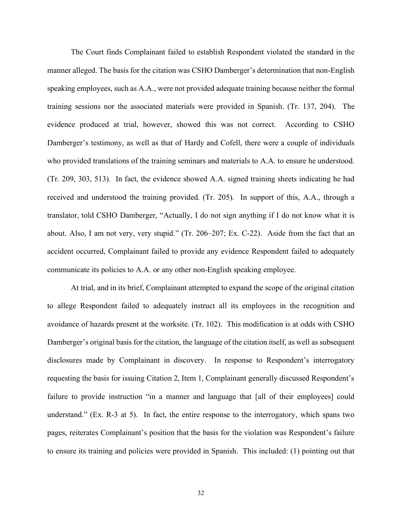The Court finds Complainant failed to establish Respondent violated the standard in the manner alleged. The basis for the citation was CSHO Damberger's determination that non-English speaking employees, such as A.A., were not provided adequate training because neither the formal training sessions nor the associated materials were provided in Spanish. (Tr. 137, 204). The evidence produced at trial, however, showed this was not correct. According to CSHO Damberger's testimony, as well as that of Hardy and Cofell, there were a couple of individuals who provided translations of the training seminars and materials to A.A. to ensure he understood. (Tr. 209, 303, 513). In fact, the evidence showed A.A. signed training sheets indicating he had received and understood the training provided. (Tr. 205). In support of this, A.A., through a translator, told CSHO Damberger, "Actually, I do not sign anything if I do not know what it is about. Also, I am not very, very stupid." (Tr. 206–207; Ex. C-22). Aside from the fact that an accident occurred, Complainant failed to provide any evidence Respondent failed to adequately communicate its policies to A.A. or any other non-English speaking employee.

 At trial, and in its brief, Complainant attempted to expand the scope of the original citation to allege Respondent failed to adequately instruct all its employees in the recognition and avoidance of hazards present at the worksite. (Tr. 102). This modification is at odds with CSHO Damberger's original basis for the citation, the language of the citation itself, as well as subsequent disclosures made by Complainant in discovery. In response to Respondent's interrogatory requesting the basis for issuing Citation 2, Item 1, Complainant generally discussed Respondent's failure to provide instruction "in a manner and language that [all of their employees] could understand." (Ex. R-3 at 5). In fact, the entire response to the interrogatory, which spans two pages, reiterates Complainant's position that the basis for the violation was Respondent's failure to ensure its training and policies were provided in Spanish. This included: (1) pointing out that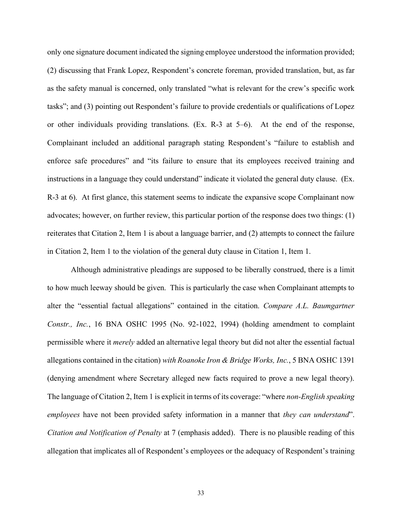only one signature document indicated the signing employee understood the information provided; (2) discussing that Frank Lopez, Respondent's concrete foreman, provided translation, but, as far as the safety manual is concerned, only translated "what is relevant for the crew's specific work tasks"; and (3) pointing out Respondent's failure to provide credentials or qualifications of Lopez or other individuals providing translations. (Ex. R-3 at 5–6). At the end of the response, Complainant included an additional paragraph stating Respondent's "failure to establish and enforce safe procedures" and "its failure to ensure that its employees received training and instructions in a language they could understand" indicate it violated the general duty clause. (Ex. R-3 at 6). At first glance, this statement seems to indicate the expansive scope Complainant now advocates; however, on further review, this particular portion of the response does two things: (1) reiterates that Citation 2, Item 1 is about a language barrier, and (2) attempts to connect the failure in Citation 2, Item 1 to the violation of the general duty clause in Citation 1, Item 1.

 Although administrative pleadings are supposed to be liberally construed, there is a limit to how much leeway should be given. This is particularly the case when Complainant attempts to *Constr., Inc.*, 16 BNA OSHC 1995 (No. 92-1022, 1994) (holding amendment to complaint permissible where it *merely* added an alternative legal theory but did not alter the essential factual allegations contained in the citation) *with Roanoke Iron & Bridge Works, Inc.*, 5 BNA OSHC 1391 (denying amendment where Secretary alleged new facts required to prove a new legal theory). The language of Citation 2, Item 1 is explicit in terms of its coverage: "where *non-English speaking employees* have not been provided safety information in a manner that *they can understand*". *Citation and Notification of Penalty* at 7 (emphasis added). There is no plausible reading of this allegation that implicates all of Respondent's employees or the adequacy of Respondent's training alter the "essential factual allegations" contained in the citation. *Compare A.L. Baumgartner*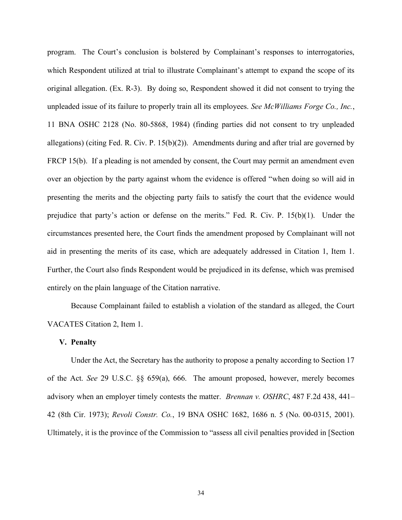program. The Court's conclusion is bolstered by Complainant's responses to interrogatories, which Respondent utilized at trial to illustrate Complainant's attempt to expand the scope of its original allegation. (Ex. R-3). By doing so, Respondent showed it did not consent to trying the unpleaded issue of its failure to properly train all its employees. *See McWilliams Forge Co., Inc.*, 11 BNA OSHC 2128 (No. 80-5868, 1984) (finding parties did not consent to try unpleaded allegations) (citing Fed. R. Civ. P. 15(b)(2)). Amendments during and after trial are governed by FRCP 15(b). If a pleading is not amended by consent, the Court may permit an amendment even over an objection by the party against whom the evidence is offered "when doing so will aid in presenting the merits and the objecting party fails to satisfy the court that the evidence would prejudice that party's action or defense on the merits." Fed. R. Civ. P. 15(b)(1). Under the circumstances presented here, the Court finds the amendment proposed by Complainant will not aid in presenting the merits of its case, which are adequately addressed in Citation 1, Item 1. Further, the Court also finds Respondent would be prejudiced in its defense, which was premised entirely on the plain language of the Citation narrative.

 Because Complainant failed to establish a violation of the standard as alleged, the Court VACATES Citation 2, Item 1.

#### **V. Penalty**

 Under the Act, the Secretary has the authority to propose a penalty according to Section 17 of the Act. *See* 29 U.S.C. §§ 659(a), 666. The amount proposed, however, merely becomes advisory when an employer timely contests the matter. *Brennan v. OSHRC*, 487 F.2d 438, 441– 42 (8th Cir. 1973); *Revoli Constr. Co.*, 19 BNA OSHC 1682, 1686 n. 5 (No. 00-0315, 2001). Ultimately, it is the province of the Commission to "assess all civil penalties provided in [Section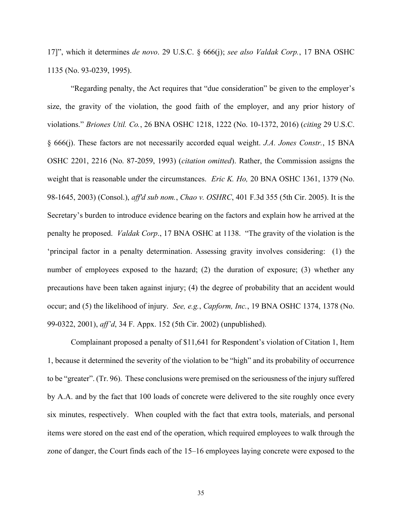17]", which it determines *de novo*. 29 U.S.C. § 666(j); *see also Valdak Corp.*, 17 BNA OSHC 1135 (No. 93-0239, 1995).

 "Regarding penalty, the Act requires that "due consideration" be given to the employer's size, the gravity of the violation, the good faith of the employer, and any prior history of  violations." *Briones Util. Co.*, 26 BNA OSHC 1218, 1222 (No. 10-1372, 2016) (*citing* 29 U.S.C. § 666(j). These factors are not necessarily accorded equal weight. *J.A. Jones Constr.*, 15 BNA OSHC 2201, 2216 (No. 87-2059, 1993) (*citation omitted*). Rather, the Commission assigns the weight that is reasonable under the circumstances. *Eric K. Ho,* 20 BNA OSHC 1361, 1379 (No. 98-1645, 2003) (Consol.), *aff'd sub nom.*, *Chao v. OSHRC*, 401 F.3d 355 (5th Cir. 2005). It is the Secretary's burden to introduce evidence bearing on the factors and explain how he arrived at the penalty he proposed. *Valdak Corp*., 17 BNA OSHC at 1138. "The gravity of the violation is the 'principal factor in a penalty determination. Assessing gravity involves considering: (1) the number of employees exposed to the hazard; (2) the duration of exposure; (3) whether any precautions have been taken against injury; (4) the degree of probability that an accident would occur; and (5) the likelihood of injury. *See, e.g.*, *Capform, Inc.*, 19 BNA OSHC 1374, 1378 (No. 99-0322, 2001), *aff'd*, 34 F. Appx. 152 (5th Cir. 2002) (unpublished).

 Complainant proposed a penalty of \$11,641 for Respondent's violation of Citation 1, Item 1, because it determined the severity of the violation to be "high" and its probability of occurrence to be "greater". (Tr. 96). These conclusions were premised on the seriousness of the injury suffered by A.A. and by the fact that 100 loads of concrete were delivered to the site roughly once every six minutes, respectively. When coupled with the fact that extra tools, materials, and personal items were stored on the east end of the operation, which required employees to walk through the zone of danger, the Court finds each of the 15–16 employees laying concrete were exposed to the